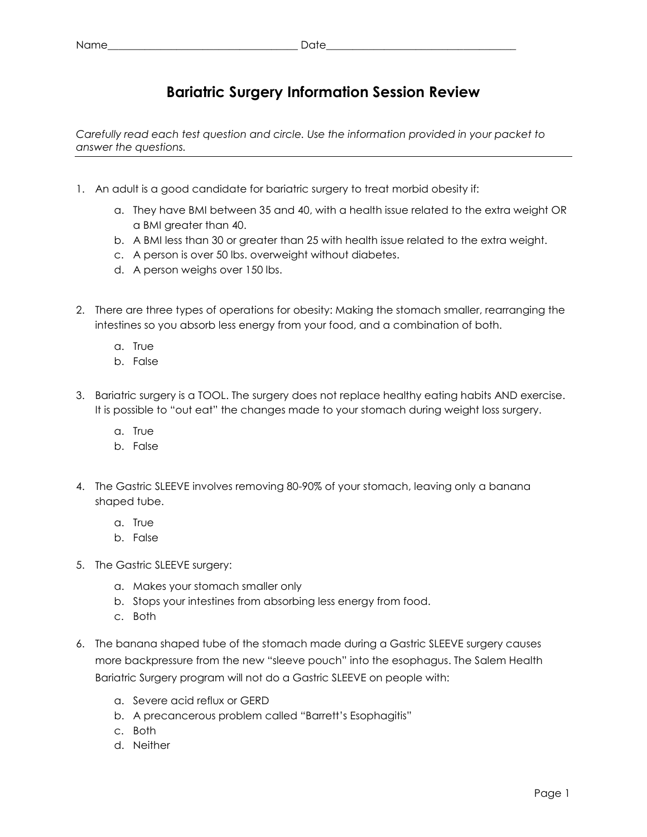## **Bariatric Surgery Information Session Review**

*Carefully read each test question and circle. Use the information provided in your packet to answer the questions.*

- 1. An adult is a good candidate for bariatric surgery to treat morbid obesity if:
	- a. They have BMI between 35 and 40, with a health issue related to the extra weight OR a BMI greater than 40.
	- b. A BMI less than 30 or greater than 25 with health issue related to the extra weight.
	- c. A person is over 50 lbs. overweight without diabetes.
	- d. A person weighs over 150 lbs.
- 2. There are three types of operations for obesity: Making the stomach smaller, rearranging the intestines so you absorb less energy from your food, and a combination of both.
	- a. True
	- b. False
- 3. Bariatric surgery is a TOOL. The surgery does not replace healthy eating habits AND exercise. It is possible to "out eat" the changes made to your stomach during weight loss surgery.
	- a. True
	- b. False
- 4. The Gastric SLEEVE involves removing 80-90% of your stomach, leaving only a banana shaped tube.
	- a. True
	- b. False
- 5. The Gastric SLEEVE surgery:
	- a. Makes your stomach smaller only
	- b. Stops your intestines from absorbing less energy from food.
	- c. Both
- 6. The banana shaped tube of the stomach made during a Gastric SLEEVE surgery causes more backpressure from the new "sleeve pouch" into the esophagus. The Salem Health Bariatric Surgery program will not do a Gastric SLEEVE on people with:
	- a. Severe acid reflux or GERD
	- b. A precancerous problem called "Barrett's Esophagitis"
	- c. Both
	- d. Neither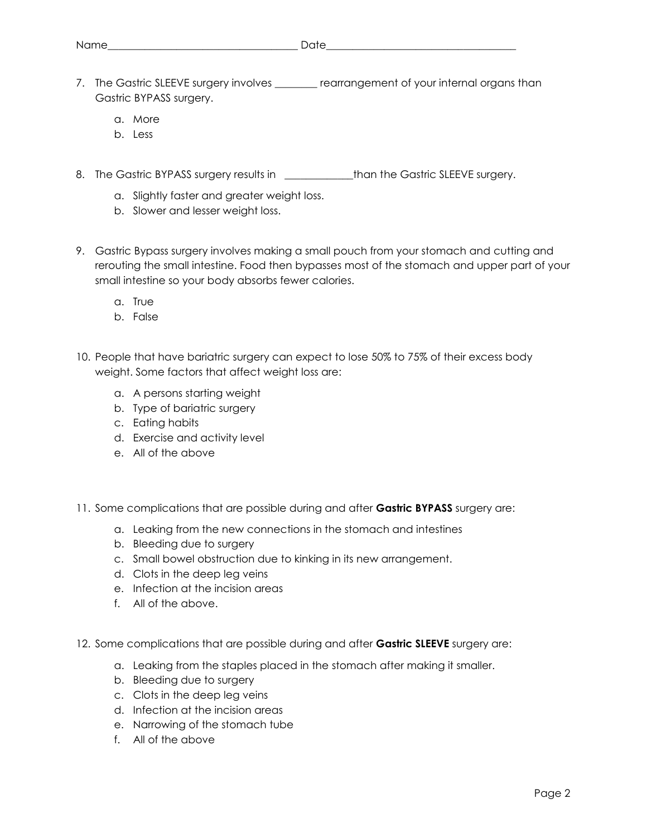- 7. The Gastric SLEEVE surgery involves \_\_\_\_\_\_\_ rearrangement of your internal organs than Gastric BYPASS surgery.
	- a. More
	- b. Less
- 8. The Gastric BYPASS surgery results in \_\_\_\_\_\_\_\_\_\_\_\_\_\_than the Gastric SLEEVE surgery.
	- a. Slightly faster and greater weight loss.
	- b. Slower and lesser weight loss.
- 9. Gastric Bypass surgery involves making a small pouch from your stomach and cutting and rerouting the small intestine. Food then bypasses most of the stomach and upper part of your small intestine so your body absorbs fewer calories.
	- a. True
	- b. False
- 10. People that have bariatric surgery can expect to lose 50% to 75% of their excess body weight. Some factors that affect weight loss are:
	- a. A persons starting weight
	- b. Type of bariatric surgery
	- c. Eating habits
	- d. Exercise and activity level
	- e. All of the above
- 11. Some complications that are possible during and after **Gastric BYPASS** surgery are:
	- a. Leaking from the new connections in the stomach and intestines
	- b. Bleeding due to surgery
	- c. Small bowel obstruction due to kinking in its new arrangement.
	- d. Clots in the deep leg veins
	- e. Infection at the incision areas
	- f. All of the above.
- 12. Some complications that are possible during and after **Gastric SLEEVE** surgery are:
	- a. Leaking from the staples placed in the stomach after making it smaller.
	- b. Bleeding due to surgery
	- c. Clots in the deep leg veins
	- d. Infection at the incision areas
	- e. Narrowing of the stomach tube
	- f. All of the above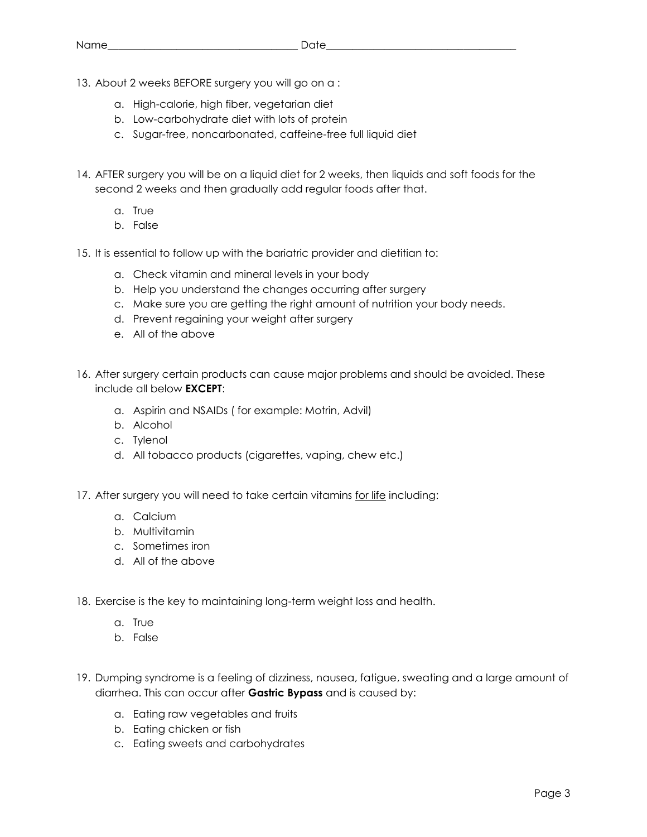- 13. About 2 weeks BEFORE surgery you will go on a :
	- a. High-calorie, high fiber, vegetarian diet
	- b. Low-carbohydrate diet with lots of protein
	- c. Sugar-free, noncarbonated, caffeine-free full liquid diet
- 14. AFTER surgery you will be on a liquid diet for 2 weeks, then liquids and soft foods for the second 2 weeks and then gradually add regular foods after that.
	- a. True
	- b. False
- 15. It is essential to follow up with the bariatric provider and dietitian to:
	- a. Check vitamin and mineral levels in your body
	- b. Help you understand the changes occurring after surgery
	- c. Make sure you are getting the right amount of nutrition your body needs.
	- d. Prevent regaining your weight after surgery
	- e. All of the above
- 16. After surgery certain products can cause major problems and should be avoided. These include all below **EXCEPT**:
	- a. Aspirin and NSAIDs ( for example: Motrin, Advil)
	- b. Alcohol
	- c. Tylenol
	- d. All tobacco products (cigarettes, vaping, chew etc.)
- 17. After surgery you will need to take certain vitamins for life including:
	- a. Calcium
	- b. Multivitamin
	- c. Sometimes iron
	- d. All of the above
- 18. Exercise is the key to maintaining long-term weight loss and health.
	- a. True
	- b. False
- 19. Dumping syndrome is a feeling of dizziness, nausea, fatigue, sweating and a large amount of diarrhea. This can occur after **Gastric Bypass** and is caused by:
	- a. Eating raw vegetables and fruits
	- b. Eating chicken or fish
	- c. Eating sweets and carbohydrates